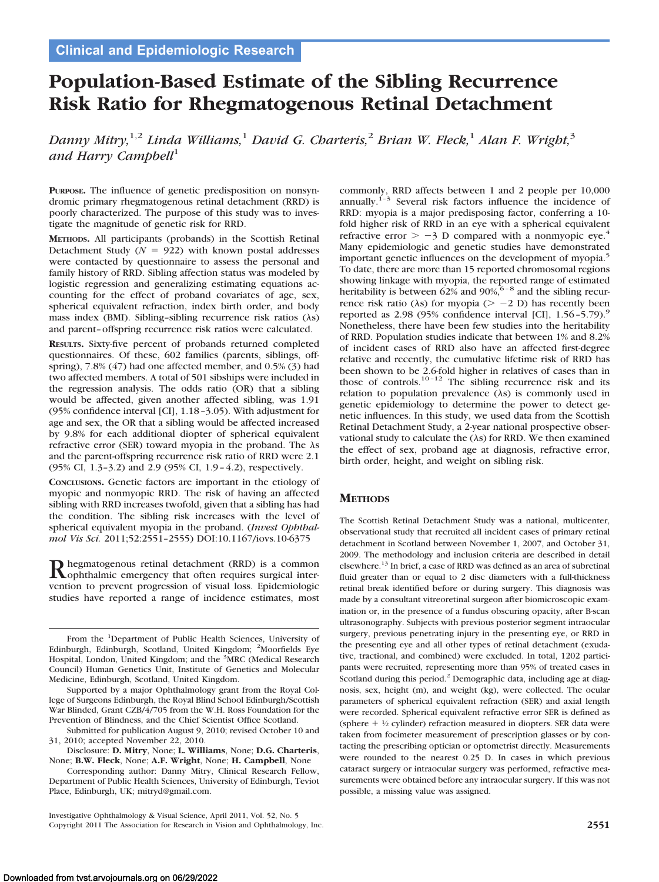# **Population-Based Estimate of the Sibling Recurrence Risk Ratio for Rhegmatogenous Retinal Detachment**

*Danny Mitry,*1,2 *Linda Williams,*<sup>1</sup> *David G. Charteris,*<sup>2</sup> *Brian W. Fleck,*<sup>1</sup> *Alan F. Wright,*<sup>3</sup> and Harry Campbell<sup>1</sup>

**PURPOSE.** The influence of genetic predisposition on nonsyndromic primary rhegmatogenous retinal detachment (RRD) is poorly characterized. The purpose of this study was to investigate the magnitude of genetic risk for RRD.

**METHODS.** All participants (probands) in the Scottish Retinal Detachment Study ( $N = 922$ ) with known postal addresses were contacted by questionnaire to assess the personal and family history of RRD. Sibling affection status was modeled by logistic regression and generalizing estimating equations accounting for the effect of proband covariates of age, sex, spherical equivalent refraction, index birth order, and body mass index (BMI). Sibling–sibling recurrence risk ratios  $(\lambda s)$ and parent– offspring recurrence risk ratios were calculated.

**RESULTS.** Sixty-five percent of probands returned completed questionnaires. Of these, 602 families (parents, siblings, offspring), 7.8% (47) had one affected member, and 0.5% (3) had two affected members. A total of 501 sibships were included in the regression analysis. The odds ratio (OR) that a sibling would be affected, given another affected sibling, was 1.91 (95% confidence interval [CI], 1.18 –3.05). With adjustment for age and sex, the OR that a sibling would be affected increased by 9.8% for each additional diopter of spherical equivalent refractive error (SER) toward myopia in the proband. The  $\lambda s$ and the parent-offspring recurrence risk ratio of RRD were 2.1 (95% CI, 1.3–3.2) and 2.9 (95% CI, 1.9 – 4.2), respectively.

**CONCLUSIONS.** Genetic factors are important in the etiology of myopic and nonmyopic RRD. The risk of having an affected sibling with RRD increases twofold, given that a sibling has had the condition. The sibling risk increases with the level of spherical equivalent myopia in the proband. (*Invest Ophthalmol Vis Sci.* 2011;52:2551–2555) DOI:10.1167/iovs.10-6375

Rhegmatogenous retinal detachment (RRD) is a common<br> **Rophthalmic emergency that often requires surgical inter**vention to prevent progression of visual loss. Epidemiologic studies have reported a range of incidence estimates, most

commonly, RRD affects between 1 and 2 people per 10,000 annually.1–3 Several risk factors influence the incidence of RRD: myopia is a major predisposing factor, conferring a 10 fold higher risk of RRD in an eye with a spherical equivalent refractive error  $> -3$  D compared with a nonmyopic eye.<sup>4</sup> Many epidemiologic and genetic studies have demonstrated important genetic influences on the development of myopia.<sup>5</sup> To date, there are more than 15 reported chromosomal regions showing linkage with myopia, the reported range of estimated heritability is between  $62\%$  and  $90\%$ ,  $6-8$  and the sibling recurrence risk ratio ( $\lambda$ s) for myopia ( $> -2$  D) has recently been reported as  $2.98$  (95% confidence interval [CI],  $1.56 - 5.79$ ).<sup>9</sup> Nonetheless, there have been few studies into the heritability of RRD. Population studies indicate that between 1% and 8.2% of incident cases of RRD also have an affected first-degree relative and recently, the cumulative lifetime risk of RRD has been shown to be 2.6-fold higher in relatives of cases than in those of controls.<sup>10-12</sup> The sibling recurrence risk and its relation to population prevalence  $(\lambda s)$  is commonly used in genetic epidemiology to determine the power to detect genetic influences. In this study, we used data from the Scottish Retinal Detachment Study, a 2-year national prospective observational study to calculate the  $(\lambda s)$  for RRD. We then examined the effect of sex, proband age at diagnosis, refractive error, birth order, height, and weight on sibling risk.

# **METHODS**

The Scottish Retinal Detachment Study was a national, multicenter, observational study that recruited all incident cases of primary retinal detachment in Scotland between November 1, 2007, and October 31, 2009. The methodology and inclusion criteria are described in detail elsewhere.13 In brief, a case of RRD was defined as an area of subretinal fluid greater than or equal to 2 disc diameters with a full-thickness retinal break identified before or during surgery. This diagnosis was made by a consultant vitreoretinal surgeon after biomicroscopic examination or, in the presence of a fundus obscuring opacity, after B-scan ultrasonography. Subjects with previous posterior segment intraocular surgery, previous penetrating injury in the presenting eye, or RRD in the presenting eye and all other types of retinal detachment (exudative, tractional, and combined) were excluded. In total, 1202 participants were recruited, representing more than 95% of treated cases in Scotland during this period.<sup>2</sup> Demographic data, including age at diagnosis, sex, height (m), and weight (kg), were collected. The ocular parameters of spherical equivalent refraction (SER) and axial length were recorded. Spherical equivalent refractive error SER is defined as (sphere  $+$  <sup>1</sup>/<sub>2</sub> cylinder) refraction measured in diopters. SER data were taken from focimeter measurement of prescription glasses or by contacting the prescribing optician or optometrist directly. Measurements were rounded to the nearest 0.25 D. In cases in which previous cataract surgery or intraocular surgery was performed, refractive measurements were obtained before any intraocular surgery. If this was not possible, a missing value was assigned.

From the <sup>1</sup>Department of Public Health Sciences, University of Edinburgh, Edinburgh, Scotland, United Kingdom; <sup>2</sup>Moorfields Eye Hospital, London, United Kingdom; and the <sup>3</sup>MRC (Medical Research Council) Human Genetics Unit, Institute of Genetics and Molecular Medicine, Edinburgh, Scotland, United Kingdom.

Supported by a major Ophthalmology grant from the Royal College of Surgeons Edinburgh, the Royal Blind School Edinburgh/Scottish War Blinded, Grant CZB/4/705 from the W.H. Ross Foundation for the Prevention of Blindness, and the Chief Scientist Office Scotland.

Submitted for publication August 9, 2010; revised October 10 and 2010; accepted November 22, 2010.

Disclosure: **D. Mitry**, None; **L. Williams**, None; **D.G. Charteris**, None; **B.W. Fleck**, None; **A.F. Wright**, None; **H. Campbell**, None

Corresponding author: Danny Mitry, Clinical Research Fellow, Department of Public Health Sciences, University of Edinburgh, Teviot Place, Edinburgh, UK; mitryd@gmail.com.

Investigative Ophthalmology & Visual Science, April 2011, Vol. 52, No. 5 Copyright 2011 The Association for Research in Vision and Ophthalmology, Inc. **2551**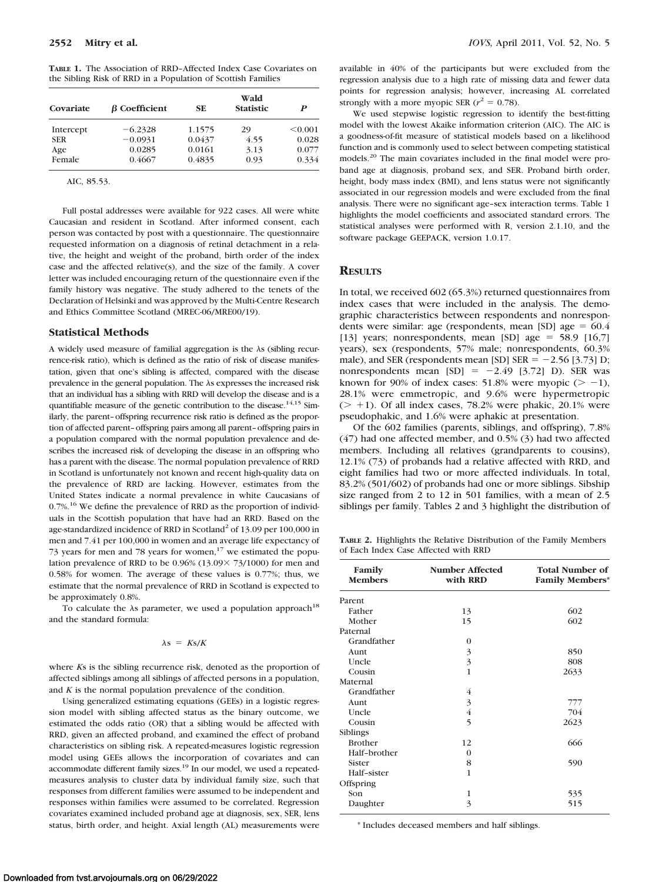**TABLE 1.** The Association of RRD–Affected Index Case Covariates on the Sibling Risk of RRD in a Population of Scottish Families

| Covariate  | $\beta$ Coefficient | <b>SE</b> | Wald<br><b>Statistic</b> | P       |
|------------|---------------------|-----------|--------------------------|---------|
| Intercept  | $-6.2328$           | 1.1575    | 29                       | < 0.001 |
| <b>SER</b> | $-0.0931$           | 0.0437    | 4.55                     | 0.028   |
| Age        | 0.0285              | 0.0161    | 3.13                     | 0.077   |
| Female     | 0.4667              | 0.4835    | 0.93                     | 0.334   |

AIC, 85.53.

Full postal addresses were available for 922 cases. All were white Caucasian and resident in Scotland. After informed consent, each person was contacted by post with a questionnaire. The questionnaire requested information on a diagnosis of retinal detachment in a relative, the height and weight of the proband, birth order of the index case and the affected relative(s), and the size of the family. A cover letter was included encouraging return of the questionnaire even if the family history was negative. The study adhered to the tenets of the Declaration of Helsinki and was approved by the Multi-Centre Research and Ethics Committee Scotland (MREC-06/MRE00/19).

### **Statistical Methods**

A widely used measure of familial aggregation is the  $\lambda$ s (sibling recurrence-risk ratio), which is defined as the ratio of risk of disease manifestation, given that one's sibling is affected, compared with the disease prevalence in the general population. The  $\lambda$ s expresses the increased risk that an individual has a sibling with RRD will develop the disease and is a quantifiable measure of the genetic contribution to the disease.<sup>14,15</sup> Similarly, the parent–offspring recurrence risk ratio is defined as the proportion of affected parent–offspring pairs among all parent–offspring pairs in a population compared with the normal population prevalence and describes the increased risk of developing the disease in an offspring who has a parent with the disease. The normal population prevalence of RRD in Scotland is unfortunately not known and recent high-quality data on the prevalence of RRD are lacking. However, estimates from the United States indicate a normal prevalence in white Caucasians of  $0.7\%$ <sup>16</sup> We define the prevalence of RRD as the proportion of individuals in the Scottish population that have had an RRD. Based on the age-standardized incidence of RRD in Scotland<sup>2</sup> of 13.09 per 100,000 in men and 7.41 per 100,000 in women and an average life expectancy of 73 years for men and 78 years for women,<sup>17</sup> we estimated the population prevalence of RRD to be  $0.96\%$  (13.09 $\times$  73/1000) for men and 0.58% for women. The average of these values is 0.77%; thus, we estimate that the normal prevalence of RRD in Scotland is expected to be approximately 0.8%.

To calculate the  $\lambda$ s parameter, we used a population approach<sup>18</sup> and the standard formula:

#### $\lambda s = K s/K$

where *K*s is the sibling recurrence risk, denoted as the proportion of affected siblings among all siblings of affected persons in a population, and *K* is the normal population prevalence of the condition.

Using generalized estimating equations (GEEs) in a logistic regression model with sibling affected status as the binary outcome, we estimated the odds ratio (OR) that a sibling would be affected with RRD, given an affected proband, and examined the effect of proband characteristics on sibling risk. A repeated-measures logistic regression model using GEEs allows the incorporation of covariates and can accommodate different family sizes.<sup>19</sup> In our model, we used a repeatedmeasures analysis to cluster data by individual family size, such that responses from different families were assumed to be independent and responses within families were assumed to be correlated. Regression covariates examined included proband age at diagnosis, sex, SER, lens status, birth order, and height. Axial length (AL) measurements were

available in 40% of the participants but were excluded from the regression analysis due to a high rate of missing data and fewer data points for regression analysis; however, increasing AL correlated strongly with a more myopic SER ( $r^2 = 0.78$ ).

We used stepwise logistic regression to identify the best-fitting model with the lowest Akaike information criterion (AIC). The AIC is a goodness-of-fit measure of statistical models based on a likelihood function and is commonly used to select between competing statistical models.20 The main covariates included in the final model were proband age at diagnosis, proband sex, and SER. Proband birth order, height, body mass index (BMI), and lens status were not significantly associated in our regression models and were excluded from the final analysis. There were no significant age–sex interaction terms. Table 1 highlights the model coefficients and associated standard errors. The statistical analyses were performed with R, version 2.1.10, and the software package GEEPACK, version 1.0.17.

## **RESULTS**

In total, we received 602 (65.3%) returned questionnaires from index cases that were included in the analysis. The demographic characteristics between respondents and nonrespondents were similar: age (respondents, mean [SD] age  $= 60.4$ [13] years; nonrespondents, mean [SD] age =  $58.9$  [16,7] years), sex (respondents, 57% male; nonrespondents, 60.3% male), and SER (respondents mean [SD] SER  $= -2.56$  [3.73] D; nonrespondents mean  $[SD] = -2.49$   $[3.72]$  D). SER was known for 90% of index cases:  $51.8\%$  were myopic ( $> -1$ ), 28.1% were emmetropic, and 9.6% were hypermetropic  $(> +1)$ . Of all index cases, 78.2% were phakic, 20.1% were pseudophakic, and 1.6% were aphakic at presentation.

Of the 602 families (parents, siblings, and offspring), 7.8% (47) had one affected member, and 0.5% (3) had two affected members. Including all relatives (grandparents to cousins), 12.1% (73) of probands had a relative affected with RRD, and eight families had two or more affected individuals. In total, 83.2% (501/602) of probands had one or more siblings. Sibship size ranged from 2 to 12 in 501 families, with a mean of 2.5 siblings per family. Tables 2 and 3 highlight the distribution of

**TABLE 2.** Highlights the Relative Distribution of the Family Members of Each Index Case Affected with RRD

| Family<br><b>Members</b> | <b>Number Affected</b><br>with RRD | <b>Total Number of</b><br><b>Family Members*</b> |
|--------------------------|------------------------------------|--------------------------------------------------|
| Parent                   |                                    |                                                  |
| Father                   | 13                                 | 602                                              |
| Mother                   | 15                                 | 602                                              |
| Paternal                 |                                    |                                                  |
| Grandfather              | 0                                  |                                                  |
| Aunt                     | 3                                  | 850                                              |
| Uncle                    | $\overline{3}$                     | 808                                              |
| Cousin                   | 1                                  | 2633                                             |
| Maternal                 |                                    |                                                  |
| Grandfather              | 4                                  |                                                  |
| Aunt                     | $\overline{3}$                     | 777                                              |
| Uncle                    | $\overline{4}$                     | 704                                              |
| Cousin                   | 5                                  | 2623                                             |
| Siblings                 |                                    |                                                  |
| <b>Brother</b>           | 12                                 | 666                                              |
| Half-brother             | $\Omega$                           |                                                  |
| Sister                   | 8                                  | 590                                              |
| Half-sister              | 1                                  |                                                  |
| Offspring                |                                    |                                                  |
| Son                      | 1                                  | 535                                              |
| Daughter                 | 3                                  | 515                                              |

\* Includes deceased members and half siblings.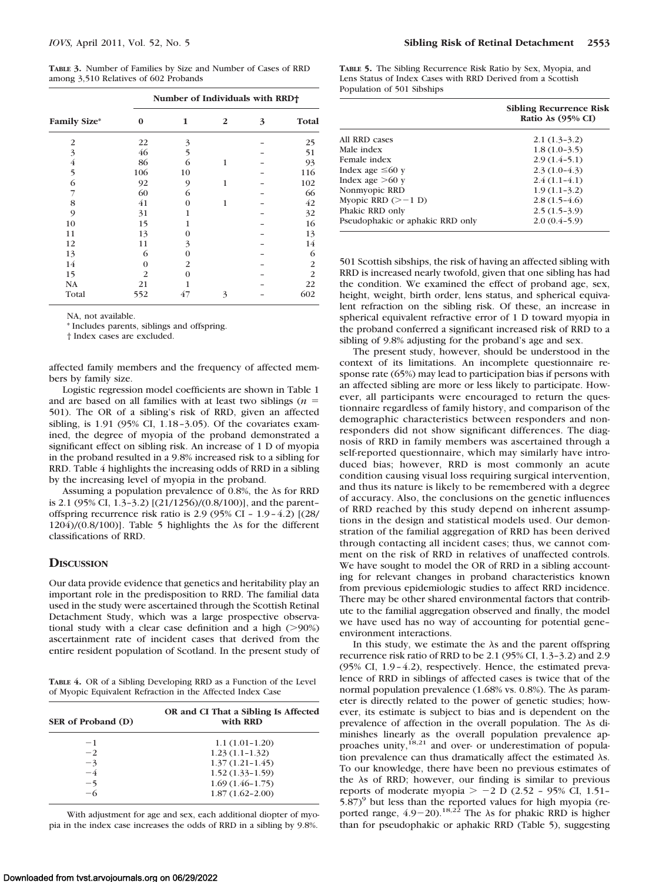**TABLE 3.** Number of Families by Size and Number of Cases of RRD among 3,510 Relatives of 602 Probands

|                     | Number of Individuals with RRD+ |    |                |   |                |
|---------------------|---------------------------------|----|----------------|---|----------------|
| <b>Family Size*</b> | $\Omega$                        | 1  | $\overline{2}$ | 3 | Total          |
| $\overline{2}$      | 22                              | 3  |                |   | 25             |
| 3                   | 46                              | 5  |                |   | 51             |
| 4                   | 86                              | 6  | 1              |   | 93             |
| 5                   | 106                             | 10 |                |   | 116            |
| 6                   | 92                              | 9  | 1              |   | 102            |
| 7                   | 60                              | 6  |                |   | 66             |
| 8                   | 41                              | Ω  | 1              |   | 42             |
| 9                   | 31                              |    |                |   | 32             |
| 10                  | 15                              |    |                |   | 16             |
| 11                  | 13                              |    |                |   | 13             |
| 12                  | 11                              | 3  |                |   | 14             |
| 13                  | 6                               | Ω  |                |   | 6              |
| 14                  | $\theta$                        | 2  |                |   | $\overline{2}$ |
| 15                  | $\overline{2}$                  | Ω  |                |   | 2              |
| <b>NA</b>           | 21                              |    |                |   | 22             |
| Total               | 552                             | 47 | 3              |   | 602            |

NA, not available.

\* Includes parents, siblings and offspring.

† Index cases are excluded.

affected family members and the frequency of affected members by family size.

Logistic regression model coefficients are shown in Table 1 and are based on all families with at least two siblings (*n* 501). The OR of a sibling's risk of RRD, given an affected sibling, is 1.91 (95% CI, 1.18 –3.05). Of the covariates examined, the degree of myopia of the proband demonstrated a significant effect on sibling risk. An increase of 1 D of myopia in the proband resulted in a 9.8% increased risk to a sibling for RRD. Table 4 highlights the increasing odds of RRD in a sibling by the increasing level of myopia in the proband.

Assuming a population prevalence of  $0.8\%$ , the  $\lambda$ s for RRD is 2.1 (95% CI, 1.3–3.2) [(21/1256)/(0.8/100)], and the parent– offspring recurrence risk ratio is 2.9 (95% CI – 1.9 – 4.2) [(28/ 1204)/(0.8/100)]. Table 5 highlights the  $\lambda$ s for the different classifications of RRD.

## **DISCUSSION**

Our data provide evidence that genetics and heritability play an important role in the predisposition to RRD. The familial data used in the study were ascertained through the Scottish Retinal Detachment Study, which was a large prospective observational study with a clear case definition and a high  $(>\!\!>90\%)$ ascertainment rate of incident cases that derived from the entire resident population of Scotland. In the present study of

**TABLE 4.** OR of a Sibling Developing RRD as a Function of the Level of Myopic Equivalent Refraction in the Affected Index Case

| SER of Proband (D) | OR and CI That a Sibling Is Affected<br>with RRD |  |  |
|--------------------|--------------------------------------------------|--|--|
| $-1$               | $1.1(1.01-1.20)$                                 |  |  |
| $-2$               | $1.23(1.1-1.32)$                                 |  |  |
| $-3$               | $1.37(1.21 - 1.45)$                              |  |  |
| $-4$               | $1.52(1.33 - 1.59)$                              |  |  |
| $-5$               | $1.69(1.46-1.75)$                                |  |  |
| $-6$               | $1.87(1.62 - 2.00)$                              |  |  |

With adjustment for age and sex, each additional diopter of myopia in the index case increases the odds of RRD in a sibling by 9.8%.

**TABLE 5.** The Sibling Recurrence Risk Ratio by Sex, Myopia, and Lens Status of Index Cases with RRD Derived from a Scottish Population of 501 Sibships

|                                  | <b>Sibling Recurrence Risk</b><br>Ratio $\lambda$ s (95% CI) |
|----------------------------------|--------------------------------------------------------------|
| All RRD cases                    | $2.1(1.3-3.2)$                                               |
| Male index                       | $1.8(1.0-3.5)$                                               |
| Female index                     | $2.9(1.4-5.1)$                                               |
| Index age $\leq 60$ y            | $2.3(1.0-4.3)$                                               |
| Index age $>60$ y                | $2.4(1.1-4.1)$                                               |
| Nonmyopic RRD                    | $1.9(1.1-3.2)$                                               |
| Myopic RRD $(>-1$ D)             | $2.8(1.5-4.6)$                                               |
| Phakic RRD only                  | $2.5(1.5-3.9)$                                               |
| Pseudophakic or aphakic RRD only | $2.0(0.4-5.9)$                                               |

501 Scottish sibships, the risk of having an affected sibling with RRD is increased nearly twofold, given that one sibling has had the condition. We examined the effect of proband age, sex, height, weight, birth order, lens status, and spherical equivalent refraction on the sibling risk. Of these, an increase in spherical equivalent refractive error of 1 D toward myopia in the proband conferred a significant increased risk of RRD to a sibling of 9.8% adjusting for the proband's age and sex.

The present study, however, should be understood in the context of its limitations. An incomplete questionnaire response rate (65%) may lead to participation bias if persons with an affected sibling are more or less likely to participate. However, all participants were encouraged to return the questionnaire regardless of family history, and comparison of the demographic characteristics between responders and nonresponders did not show significant differences. The diagnosis of RRD in family members was ascertained through a self-reported questionnaire, which may similarly have introduced bias; however, RRD is most commonly an acute condition causing visual loss requiring surgical intervention, and thus its nature is likely to be remembered with a degree of accuracy. Also, the conclusions on the genetic influences of RRD reached by this study depend on inherent assumptions in the design and statistical models used. Our demonstration of the familial aggregation of RRD has been derived through contacting all incident cases; thus, we cannot comment on the risk of RRD in relatives of unaffected controls. We have sought to model the OR of RRD in a sibling accounting for relevant changes in proband characteristics known from previous epidemiologic studies to affect RRD incidence. There may be other shared environmental factors that contribute to the familial aggregation observed and finally, the model we have used has no way of accounting for potential gene– environment interactions.

In this study, we estimate the  $\lambda$ s and the parent offspring recurrence risk ratio of RRD to be 2.1 (95% CI, 1.3–3.2) and 2.9 (95% CI, 1.9 – 4.2), respectively. Hence, the estimated prevalence of RRD in siblings of affected cases is twice that of the normal population prevalence  $(1.68\% \text{ vs. } 0.8\%)$ . The  $\lambda$ s parameter is directly related to the power of genetic studies; however, its estimate is subject to bias and is dependent on the prevalence of affection in the overall population. The  $\lambda s$  diminishes linearly as the overall population prevalence approaches unity,<sup>18,21</sup> and over- or underestimation of population prevalence can thus dramatically affect the estimated  $\lambda$ s. To our knowledge, there have been no previous estimates of the  $\lambda$ s of RRD; however, our finding is similar to previous reports of moderate myopia  $> -2$  D (2.52 - 95% CI, 1.51- $5.87$ <sup>9</sup> but less than the reported values for high myopia (reported range,  $4.9-20$ .<sup>18,22</sup> The  $\lambda$ s for phakic RRD is higher than for pseudophakic or aphakic RRD (Table 5), suggesting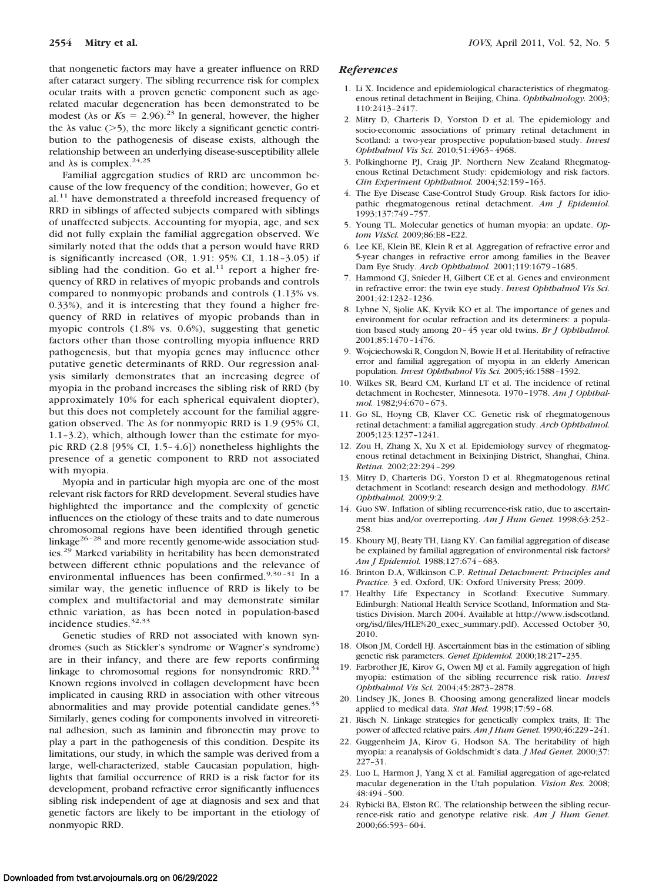that nongenetic factors may have a greater influence on RRD after cataract surgery. The sibling recurrence risk for complex ocular traits with a proven genetic component such as agerelated macular degeneration has been demonstrated to be modest ( $\lambda$ s or  $Ks = 2.96$ )<sup>23</sup> In general, however, the higher the  $\lambda$ s value ( $>$ 5), the more likely a significant genetic contribution to the pathogenesis of disease exists, although the relationship between an underlying disease-susceptibility allele and  $\lambda$ s is complex.<sup>24,25</sup>

Familial aggregation studies of RRD are uncommon because of the low frequency of the condition; however, Go et al.<sup>11</sup> have demonstrated a threefold increased frequency of RRD in siblings of affected subjects compared with siblings of unaffected subjects. Accounting for myopia, age, and sex did not fully explain the familial aggregation observed. We similarly noted that the odds that a person would have RRD is significantly increased (OR, 1.91: 95% CI, 1.18 –3.05) if sibling had the condition. Go et al. $11$  report a higher frequency of RRD in relatives of myopic probands and controls compared to nonmyopic probands and controls (1.13% vs. 0.33%), and it is interesting that they found a higher frequency of RRD in relatives of myopic probands than in myopic controls (1.8% vs. 0.6%), suggesting that genetic factors other than those controlling myopia influence RRD pathogenesis, but that myopia genes may influence other putative genetic determinants of RRD. Our regression analysis similarly demonstrates that an increasing degree of myopia in the proband increases the sibling risk of RRD (by approximately 10% for each spherical equivalent diopter), but this does not completely account for the familial aggregation observed. The  $\lambda$ s for nonmyopic RRD is 1.9 (95% CI, 1.1–3.2), which, although lower than the estimate for myopic RRD (2.8 [95% CI, 1.5– 4.6]) nonetheless highlights the presence of a genetic component to RRD not associated with myopia.

Myopia and in particular high myopia are one of the most relevant risk factors for RRD development. Several studies have highlighted the importance and the complexity of genetic influences on the etiology of these traits and to date numerous chromosomal regions have been identified through genetic linkage $26 - 28$  and more recently genome-wide association studies.<sup>29</sup> Marked variability in heritability has been demonstrated between different ethnic populations and the relevance of environmental influences has been confirmed. $9,30-31$  In a similar way, the genetic influence of RRD is likely to be complex and multifactorial and may demonstrate similar ethnic variation, as has been noted in population-based incidence studies.<sup>32,33</sup>

Genetic studies of RRD not associated with known syndromes (such as Stickler's syndrome or Wagner's syndrome) are in their infancy, and there are few reports confirming linkage to chromosomal regions for nonsyndromic RRD. $34$ Known regions involved in collagen development have been implicated in causing RRD in association with other vitreous abnormalities and may provide potential candidate genes.<sup>35</sup> Similarly, genes coding for components involved in vitreoretinal adhesion, such as laminin and fibronectin may prove to play a part in the pathogenesis of this condition. Despite its limitations, our study, in which the sample was derived from a large, well-characterized, stable Caucasian population, highlights that familial occurrence of RRD is a risk factor for its development, proband refractive error significantly influences sibling risk independent of age at diagnosis and sex and that genetic factors are likely to be important in the etiology of nonmyopic RRD.

## *References*

- 1. Li X. Incidence and epidemiological characteristics of rhegmatogenous retinal detachment in Beijing, China. *Ophthalmology.* 2003; 110:2413–2417.
- 2. Mitry D, Charteris D, Yorston D et al. The epidemiology and socio-economic associations of primary retinal detachment in Scotland: a two-year prospective population-based study. *Invest Ophthalmol Vis Sci.* 2010;51:4963– 4968.
- 3. Polkinghorne PJ, Craig JP. Northern New Zealand Rhegmatogenous Retinal Detachment Study: epidemiology and risk factors. *Clin Experiment Ophthalmol.* 2004;32:159 –163.
- 4. The Eye Disease Case-Control Study Group. Risk factors for idiopathic rhegmatogenous retinal detachment. *Am J Epidemiol.* 1993;137:749 –757.
- 5. Young TL. Molecular genetics of human myopia: an update. *Optom VisSci.* 2009;86:E8 –E22.
- 6. Lee KE, Klein BE, Klein R et al. Aggregation of refractive error and 5-year changes in refractive error among families in the Beaver Dam Eye Study. *Arch Ophthalmol.* 2001;119:1679 –1685.
- 7. Hammond CJ, Snieder H, Gilbert CE et al. Genes and environment in refractive error: the twin eye study. *Invest Ophthalmol Vis Sci.* 2001;42:1232–1236.
- 8. Lyhne N, Sjolie AK, Kyvik KO et al. The importance of genes and environment for ocular refraction and its determiners: a population based study among 20 – 45 year old twins. *Br J Ophthalmol.* 2001;85:1470 –1476.
- 9. Wojciechowski R, Congdon N, Bowie H et al. Heritability of refractive error and familial aggregation of myopia in an elderly American population. *Invest Ophthalmol Vis Sci.* 2005;46:1588 –1592.
- 10. Wilkes SR, Beard CM, Kurland LT et al. The incidence of retinal detachment in Rochester, Minnesota. 1970 –1978. *Am J Ophthalmol.* 1982;94:670 – 673.
- 11. Go SL, Hoyng CB, Klaver CC. Genetic risk of rhegmatogenous retinal detachment: a familial aggregation study. *Arch Ophthalmol.* 2005;123:1237–1241.
- 12. Zou H, Zhang X, Xu X et al. Epidemiology survey of rhegmatogenous retinal detachment in Beixinjing District, Shanghai, China. *Retina.* 2002;22:294 –299.
- 13. Mitry D, Charteris DG, Yorston D et al. Rhegmatogenous retinal detachment in Scotland: research design and methodology. *BMC Ophthalmol.* 2009;9:2.
- 14. Guo SW. Inflation of sibling recurrence-risk ratio, due to ascertainment bias and/or overreporting. *Am J Hum Genet.* 1998;63:252– 258.
- 15. Khoury MJ, Beaty TH, Liang KY. Can familial aggregation of disease be explained by familial aggregation of environmental risk factors? *Am J Epidemiol.* 1988;127:674 – 683.
- 16. Brinton D.A, Wilkinson C.P. *Retinal Detachment: Principles and Practice*. 3 ed. Oxford, UK: Oxford University Press; 2009.
- 17. Healthy Life Expectancy in Scotland: Executive Summary. Edinburgh: National Health Service Scotland, Information and Statistics Division. March 2004. Available at http://www.isdscotland. org/isd/files/HLE%20\_exec\_summary.pdf). Accessed October 30, 2010.
- 18. Olson JM, Cordell HJ. Ascertainment bias in the estimation of sibling genetic risk parameters. *Genet Epidemiol.* 2000;18:217–235.
- 19. Farbrother JE, Kirov G, Owen MJ et al. Family aggregation of high myopia: estimation of the sibling recurrence risk ratio. *Invest Ophthalmol Vis Sci.* 2004;45:2873–2878.
- 20. Lindsey JK, Jones B. Choosing among generalized linear models applied to medical data. *Stat Med.* 1998;17:59 – 68.
- 21. Risch N. Linkage strategies for genetically complex traits, II: The power of affected relative pairs. *Am J Hum Genet.* 1990;46:229 –241.
- 22. Guggenheim JA, Kirov G, Hodson SA. The heritability of high myopia: a reanalysis of Goldschmidt's data. *J Med Genet.* 2000;37: 227–31.
- 23. Luo L, Harmon J, Yang X et al. Familial aggregation of age-related macular degeneration in the Utah population. *Vision Res.* 2008; 48:494 –500.
- 24. Rybicki BA, Elston RC. The relationship between the sibling recurrence-risk ratio and genotype relative risk. *Am J Hum Genet.* 2000;66:593– 604.